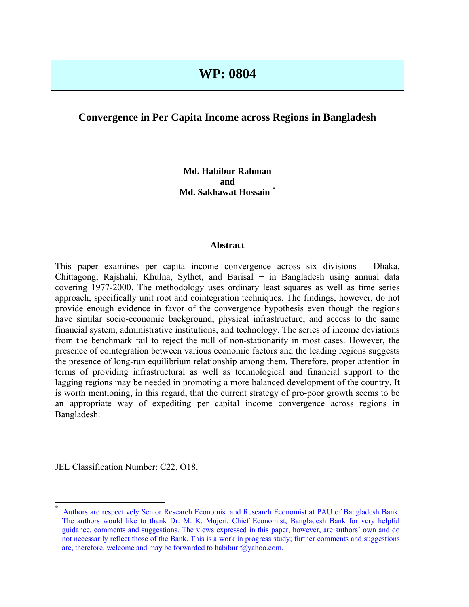# **WP: 0804**

# **Convergence in Per Capita Income across Regions in Bangladesh**

# **Md. Habibur Rahman and Md. Sakhawat Hossain [\\*](#page-0-0)**

#### **Abstract**

This paper examines per capita income convergence across six divisions – Dhaka, Chittagong, Rajshahi, Khulna, Sylhet, and Barisal − in Bangladesh using annual data covering 1977-2000. The methodology uses ordinary least squares as well as time series approach, specifically unit root and cointegration techniques. The findings, however, do not provide enough evidence in favor of the convergence hypothesis even though the regions have similar socio-economic background, physical infrastructure, and access to the same financial system, administrative institutions, and technology. The series of income deviations from the benchmark fail to reject the null of non-stationarity in most cases. However, the presence of cointegration between various economic factors and the leading regions suggests the presence of long-run equilibrium relationship among them. Therefore, proper attention in terms of providing infrastructural as well as technological and financial support to the lagging regions may be needed in promoting a more balanced development of the country. It is worth mentioning, in this regard, that the current strategy of pro-poor growth seems to be an appropriate way of expediting per capital income convergence across regions in Bangladesh.

JEL Classification Number: C22, O18.

 $\overline{a}$ 

<span id="page-0-0"></span><sup>\*</sup> Authors are respectively Senior Research Economist and Research Economist at PAU of Bangladesh Bank. The authors would like to thank Dr. M. K. Mujeri, Chief Economist, Bangladesh Bank for very helpful guidance, comments and suggestions. The views expressed in this paper, however, are authors' own and do not necessarily reflect those of the Bank. This is a work in progress study; further comments and suggestions are, therefore, welcome and may be forwarded to [habiburr@yahoo.com.](mailto:habiburr@yahoo.com)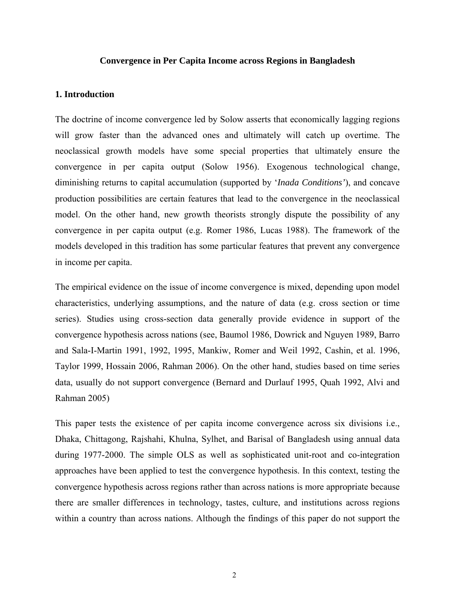#### **Convergence in Per Capita Income across Regions in Bangladesh**

## **1. Introduction**

The doctrine of income convergence led by Solow asserts that economically lagging regions will grow faster than the advanced ones and ultimately will catch up overtime. The neoclassical growth models have some special properties that ultimately ensure the convergence in per capita output (Solow 1956). Exogenous technological change, diminishing returns to capital accumulation (supported by '*Inada Conditions'*), and concave production possibilities are certain features that lead to the convergence in the neoclassical model. On the other hand, new growth theorists strongly dispute the possibility of any convergence in per capita output (e.g. Romer 1986, Lucas 1988). The framework of the models developed in this tradition has some particular features that prevent any convergence in income per capita.

The empirical evidence on the issue of income convergence is mixed, depending upon model characteristics, underlying assumptions, and the nature of data (e.g. cross section or time series). Studies using cross-section data generally provide evidence in support of the convergence hypothesis across nations (see, Baumol 1986, Dowrick and Nguyen 1989, Barro and Sala-I-Martin 1991, 1992, 1995, Mankiw, Romer and Weil 1992, Cashin, et al. 1996, Taylor 1999, Hossain 2006, Rahman 2006). On the other hand, studies based on time series data, usually do not support convergence (Bernard and Durlauf 1995, Quah 1992, Alvi and Rahman 2005)

This paper tests the existence of per capita income convergence across six divisions i.e., Dhaka, Chittagong, Rajshahi, Khulna, Sylhet, and Barisal of Bangladesh using annual data during 1977-2000. The simple OLS as well as sophisticated unit-root and co-integration approaches have been applied to test the convergence hypothesis. In this context, testing the convergence hypothesis across regions rather than across nations is more appropriate because there are smaller differences in technology, tastes, culture, and institutions across regions within a country than across nations. Although the findings of this paper do not support the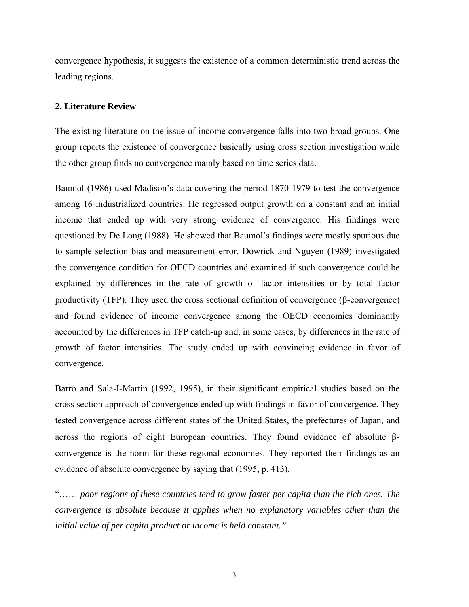convergence hypothesis, it suggests the existence of a common deterministic trend across the leading regions.

#### **2. Literature Review**

The existing literature on the issue of income convergence falls into two broad groups. One group reports the existence of convergence basically using cross section investigation while the other group finds no convergence mainly based on time series data.

Baumol (1986) used Madison's data covering the period 1870-1979 to test the convergence among 16 industrialized countries. He regressed output growth on a constant and an initial income that ended up with very strong evidence of convergence. His findings were questioned by De Long (1988). He showed that Baumol's findings were mostly spurious due to sample selection bias and measurement error. Dowrick and Nguyen (1989) investigated the convergence condition for OECD countries and examined if such convergence could be explained by differences in the rate of growth of factor intensities or by total factor productivity (TFP). They used the cross sectional definition of convergence ( $\beta$ -convergence) and found evidence of income convergence among the OECD economies dominantly accounted by the differences in TFP catch-up and, in some cases, by differences in the rate of growth of factor intensities. The study ended up with convincing evidence in favor of convergence.

Barro and Sala-I-Martin (1992, 1995), in their significant empirical studies based on the cross section approach of convergence ended up with findings in favor of convergence. They tested convergence across different states of the United States, the prefectures of Japan, and across the regions of eight European countries. They found evidence of absolute βconvergence is the norm for these regional economies. They reported their findings as an evidence of absolute convergence by saying that (1995, p. 413),

"…… *poor regions of these countries tend to grow faster per capita than the rich ones. The convergence is absolute because it applies when no explanatory variables other than the initial value of per capita product or income is held constant."*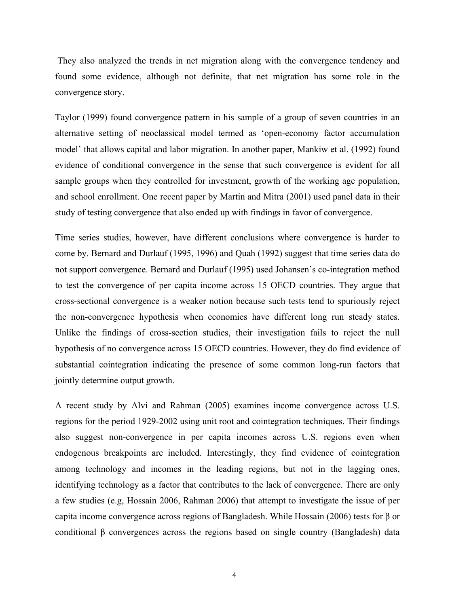They also analyzed the trends in net migration along with the convergence tendency and found some evidence, although not definite, that net migration has some role in the convergence story.

Taylor (1999) found convergence pattern in his sample of a group of seven countries in an alternative setting of neoclassical model termed as 'open-economy factor accumulation model' that allows capital and labor migration. In another paper, Mankiw et al. (1992) found evidence of conditional convergence in the sense that such convergence is evident for all sample groups when they controlled for investment, growth of the working age population, and school enrollment. One recent paper by Martin and Mitra (2001) used panel data in their study of testing convergence that also ended up with findings in favor of convergence.

Time series studies, however, have different conclusions where convergence is harder to come by. Bernard and Durlauf (1995, 1996) and Quah (1992) suggest that time series data do not support convergence. Bernard and Durlauf (1995) used Johansen's co-integration method to test the convergence of per capita income across 15 OECD countries. They argue that cross-sectional convergence is a weaker notion because such tests tend to spuriously reject the non-convergence hypothesis when economies have different long run steady states. Unlike the findings of cross-section studies, their investigation fails to reject the null hypothesis of no convergence across 15 OECD countries. However, they do find evidence of substantial cointegration indicating the presence of some common long-run factors that jointly determine output growth.

A recent study by Alvi and Rahman (2005) examines income convergence across U.S. regions for the period 1929-2002 using unit root and cointegration techniques. Their findings also suggest non-convergence in per capita incomes across U.S. regions even when endogenous breakpoints are included. Interestingly, they find evidence of cointegration among technology and incomes in the leading regions, but not in the lagging ones, identifying technology as a factor that contributes to the lack of convergence. There are only a few studies (e.g, Hossain 2006, Rahman 2006) that attempt to investigate the issue of per capita income convergence across regions of Bangladesh. While Hossain (2006) tests for β or conditional β convergences across the regions based on single country (Bangladesh) data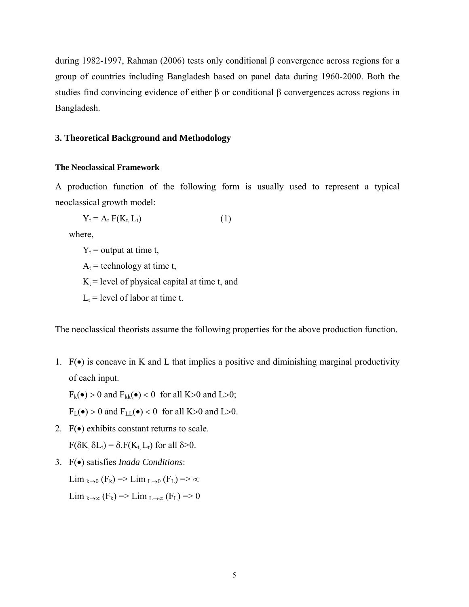during 1982-1997, Rahman (2006) tests only conditional β convergence across regions for a group of countries including Bangladesh based on panel data during 1960-2000. Both the studies find convincing evidence of either β or conditional β convergences across regions in Bangladesh.

## **3. Theoretical Background and Methodology**

#### **The Neoclassical Framework**

A production function of the following form is usually used to represent a typical neoclassical growth model:

$$
Y_t = A_t F(K_t, L_t)
$$
 (1)

where,

 $Y_t$  = output at time t,  $A_t$  = technology at time t,  $K_t$  = level of physical capital at time t, and  $L_t$  = level of labor at time t.

The neoclassical theorists assume the following properties for the above production function.

1.  $F(\bullet)$  is concave in K and L that implies a positive and diminishing marginal productivity of each input.

 $F_k(\bullet) > 0$  and  $F_{kk}(\bullet) < 0$  for all K>0 and L>0;

 $F_L(\bullet) > 0$  and  $F_{LL}(\bullet) < 0$  for all K>0 and L>0.

- 2.  $F(\bullet)$  exhibits constant returns to scale. F( $\delta K$ ,  $\delta L_t$ ) =  $\delta$ . F( $K_t$ ,  $L_t$ ) for all  $\delta$ >0.
- 3. F(•) satisfies *Inada Conditions*:

Lim <sub>k→0</sub> (F<sub>k</sub>) => Lim <sub>L→0</sub> (F<sub>L</sub>) =>  $\infty$ Lim <sub>k→∝</sub> (F<sub>k</sub>) => Lim <sub>L→∝</sub> (F<sub>L</sub>) => 0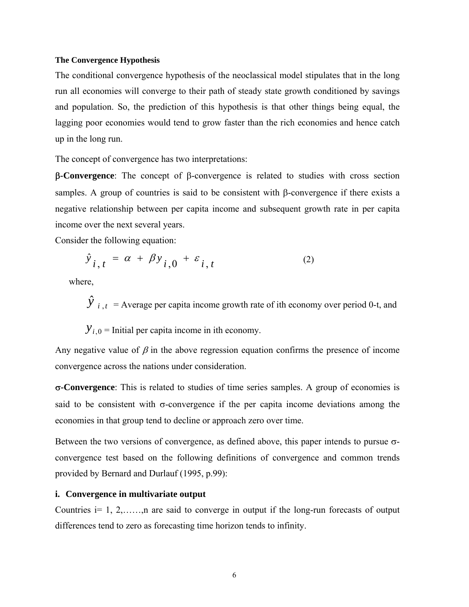#### **The Convergence Hypothesis**

The conditional convergence hypothesis of the neoclassical model stipulates that in the long run all economies will converge to their path of steady state growth conditioned by savings and population. So, the prediction of this hypothesis is that other things being equal, the lagging poor economies would tend to grow faster than the rich economies and hence catch up in the long run.

The concept of convergence has two interpretations:

β**-Convergence**: The concept of β-convergence is related to studies with cross section samples. A group of countries is said to be consistent with β-convergence if there exists a negative relationship between per capita income and subsequent growth rate in per capita income over the next several years.

Consider the following equation:

$$
\hat{y}_{i,t} = \alpha + \beta y_{i,0} + \varepsilon_{i,t} \tag{2}
$$

where,

 $\hat{y}$  *i*,  $t =$  Average per capita income growth rate of ith economy over period 0-t, and

 $Y_{i,0}$  = Initial per capita income in ith economy.

Any negative value of  $\beta$  in the above regression equation confirms the presence of income convergence across the nations under consideration.

σ**-Convergence**: This is related to studies of time series samples. A group of economies is said to be consistent with  $\sigma$ -convergence if the per capita income deviations among the economies in that group tend to decline or approach zero over time.

Between the two versions of convergence, as defined above, this paper intends to pursue σconvergence test based on the following definitions of convergence and common trends provided by Bernard and Durlauf (1995, p.99):

#### **i. Convergence in multivariate output**

Countries  $i=1, 2, \ldots, n$  are said to converge in output if the long-run forecasts of output differences tend to zero as forecasting time horizon tends to infinity.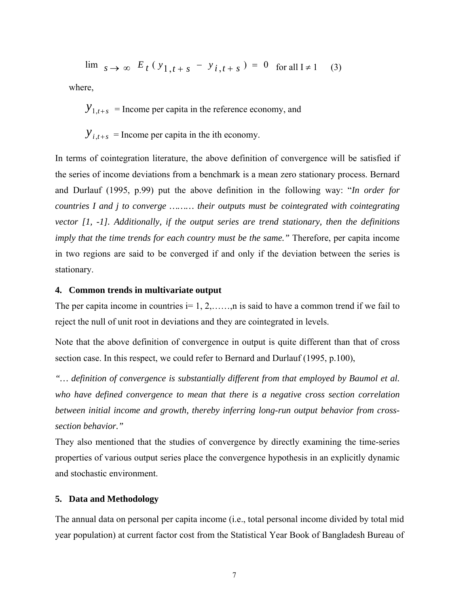$\lim_{s \to \infty} E_t(y_{1,t+s} - y_{i,t+s}) = 0$  for all I≠1 (3)

where,

 $y_{1,t+s}$  = Income per capita in the reference economy, and

 $Y_{i,t+s}$  = Income per capita in the ith economy.

In terms of cointegration literature, the above definition of convergence will be satisfied if the series of income deviations from a benchmark is a mean zero stationary process. Bernard and Durlauf (1995, p.99) put the above definition in the following way: "*In order for countries I and j to converge ……… their outputs must be cointegrated with cointegrating vector [1, -1]. Additionally, if the output series are trend stationary, then the definitions imply that the time trends for each country must be the same.*" Therefore, per capita income in two regions are said to be converged if and only if the deviation between the series is stationary.

#### **4. Common trends in multivariate output**

The per capita income in countries  $i=1, 2, \ldots, n$  is said to have a common trend if we fail to reject the null of unit root in deviations and they are cointegrated in levels.

Note that the above definition of convergence in output is quite different than that of cross section case. In this respect, we could refer to Bernard and Durlauf (1995, p.100),

*"… definition of convergence is substantially different from that employed by Baumol et al. who have defined convergence to mean that there is a negative cross section correlation between initial income and growth, thereby inferring long-run output behavior from crosssection behavior."*

They also mentioned that the studies of convergence by directly examining the time-series properties of various output series place the convergence hypothesis in an explicitly dynamic and stochastic environment.

## **5. Data and Methodology**

The annual data on personal per capita income (i.e., total personal income divided by total mid year population) at current factor cost from the Statistical Year Book of Bangladesh Bureau of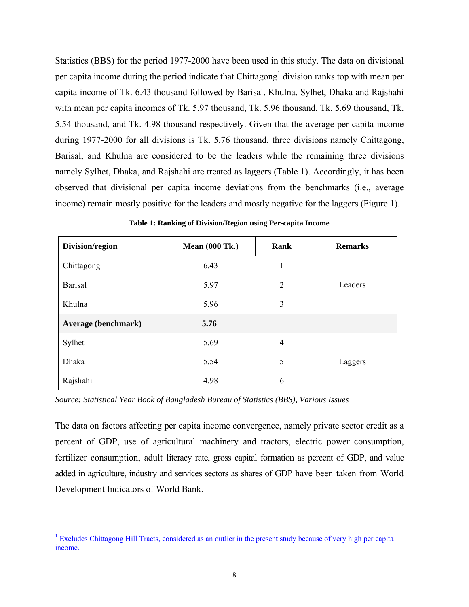Statistics (BBS) for the period 1977-2000 have been used in this study. The data on divisional per capita income during the period indicate that Chittagong<sup>1</sup> division ranks top with mean per capita income of Tk. 6.43 thousand followed by Barisal, Khulna, Sylhet, Dhaka and Rajshahi with mean per capita incomes of Tk. 5.97 thousand, Tk. 5.96 thousand, Tk. 5.69 thousand, Tk. 5.54 thousand, and Tk. 4.98 thousand respectively. Given that the average per capita income during 1977-2000 for all divisions is Tk. 5.76 thousand, three divisions namely Chittagong, Barisal, and Khulna are considered to be the leaders while the remaining three divisions namely Sylhet, Dhaka, and Rajshahi are treated as laggers (Table 1). Accordingly, it has been observed that divisional per capita income deviations from the benchmarks (i.e., average income) remain mostly positive for the leaders and mostly negative for the laggers (Figure 1).

| Division/region     | <b>Mean (000 Tk.)</b> | Rank           | <b>Remarks</b> |
|---------------------|-----------------------|----------------|----------------|
| Chittagong          | 6.43                  | 1              |                |
| Barisal             | 5.97                  | $\overline{2}$ | Leaders        |
| Khulna              | 5.96                  | 3              |                |
| Average (benchmark) | 5.76                  |                |                |
| Sylhet              | 5.69                  | $\overline{4}$ |                |
| Dhaka               | 5.54                  | 5              | Laggers        |
| Rajshahi            | 4.98                  | 6              |                |

**Table 1: Ranking of Division/Region using Per-capita Income** 

*Source: Statistical Year Book of Bangladesh Bureau of Statistics (BBS), Various Issues*

The data on factors affecting per capita income convergence, namely private sector credit as a percent of GDP, use of agricultural machinery and tractors, electric power consumption, fertilizer consumption, adult literacy rate, gross capital formation as percent of GDP, and value added in agriculture, industry and services sectors as shares of GDP have been taken from World Development Indicators of World Bank.

<span id="page-7-0"></span><sup>|&</sup>lt;br>|<br>| <sup>1</sup> Excludes Chittagong Hill Tracts, considered as an outlier in the present study because of very high per capita income.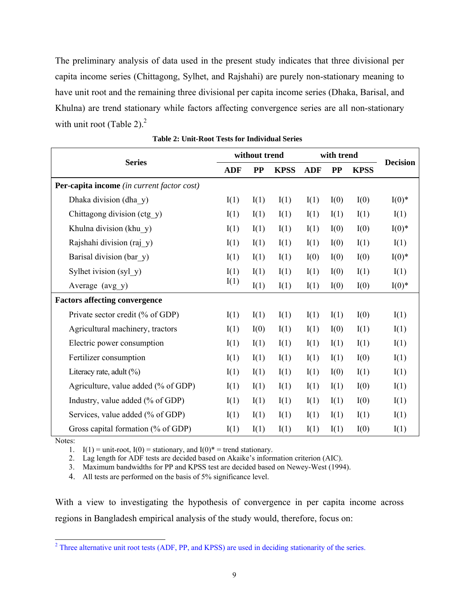The preliminary analysis of data used in the present study indicates that three divisional per capita income series (Chittagong, Sylhet, and Rajshahi) are purely non-stationary meaning to have unit root and the remaining three divisional per capita income series (Dhaka, Barisal, and Khulna) are trend stationary while factors affecting convergence series are all non-stationary with unit root (Table [2](#page-8-0)). $<sup>2</sup>$ </sup>

|                                            | without trend |           | with trend  |            |           |             |                 |
|--------------------------------------------|---------------|-----------|-------------|------------|-----------|-------------|-----------------|
| <b>Series</b>                              | <b>ADF</b>    | <b>PP</b> | <b>KPSS</b> | <b>ADF</b> | <b>PP</b> | <b>KPSS</b> | <b>Decision</b> |
| Per-capita income (in current factor cost) |               |           |             |            |           |             |                 |
| Dhaka division (dha y)                     | I(1)          | I(1)      | I(1)        | I(1)       | I(0)      | I(0)        | $I(0)^*$        |
| Chittagong division (ctg y)                | I(1)          | I(1)      | I(1)        | I(1)       | I(1)      | I(1)        | I(1)            |
| Khulna division (khu y)                    | I(1)          | I(1)      | I(1)        | I(1)       | I(0)      | I(0)        | $I(0)^*$        |
| Rajshahi division (raj y)                  | I(1)          | I(1)      | I(1)        | I(1)       | I(0)      | I(1)        | I(1)            |
| Barisal division (bar y)                   | I(1)          | I(1)      | I(1)        | I(0)       | I(0)      | I(0)        | $I(0)$ *        |
| Sylhet ivision (syl y)                     | I(1)          | I(1)      | I(1)        | I(1)       | I(0)      | I(1)        | I(1)            |
| Average (avg_y)                            | I(1)          | I(1)      | I(1)        | I(1)       | I(0)      | I(0)        | $I(0)^*$        |
| <b>Factors affecting convergence</b>       |               |           |             |            |           |             |                 |
| Private sector credit (% of GDP)           | I(1)          | I(1)      | I(1)        | I(1)       | I(1)      | I(0)        | I(1)            |
| Agricultural machinery, tractors           | I(1)          | I(0)      | I(1)        | I(1)       | I(0)      | I(1)        | I(1)            |
| Electric power consumption                 | I(1)          | I(1)      | I(1)        | I(1)       | I(1)      | I(1)        | I(1)            |
| Fertilizer consumption                     | I(1)          | I(1)      | I(1)        | I(1)       | I(1)      | I(0)        | I(1)            |
| Literacy rate, adult $(\% )$               | I(1)          | I(1)      | I(1)        | I(1)       | I(0)      | I(1)        | I(1)            |
| Agriculture, value added (% of GDP)        | I(1)          | I(1)      | I(1)        | I(1)       | I(1)      | I(0)        | I(1)            |
| Industry, value added (% of GDP)           | I(1)          | I(1)      | I(1)        | I(1)       | I(1)      | I(0)        | I(1)            |
| Services, value added (% of GDP)           | I(1)          | I(1)      | I(1)        | I(1)       | I(1)      | I(1)        | I(1)            |
| Gross capital formation (% of GDP)         | I(1)          | I(1)      | I(1)        | I(1)       | I(1)      | I(0)        | I(1)            |

**Table 2: Unit-Root Tests for Individual Series** 

Notes:

1. I(1) = unit-root, I(0) = stationary, and I(0)<sup> $*$ </sup> = trend stationary.

2. Lag length for ADF tests are decided based on Akaike's information criterion (AIC).

3. Maximum bandwidths for PP and KPSS test are decided based on Newey-West (1994).

4. All tests are performed on the basis of 5% significance level.

With a view to investigating the hypothesis of convergence in per capita income across regions in Bangladesh empirical analysis of the study would, therefore, focus on:

<span id="page-8-0"></span> $\frac{1}{2}$ <sup>2</sup> Three alternative unit root tests (ADF, PP, and KPSS) are used in deciding stationarity of the series.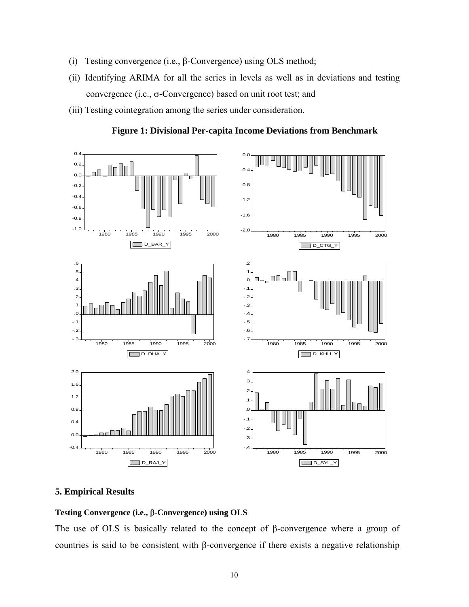- (i) Testing convergence (i.e., β-Convergence) using OLS method;
- (ii) Identifying ARIMA for all the series in levels as well as in deviations and testing convergence (i.e., σ-Convergence) based on unit root test; and
- (iii) Testing cointegration among the series under consideration.





## **5. Empirical Results**

# **Testing Convergence (i.e.,** β**-Convergence) using OLS**

The use of OLS is basically related to the concept of β-convergence where a group of countries is said to be consistent with β-convergence if there exists a negative relationship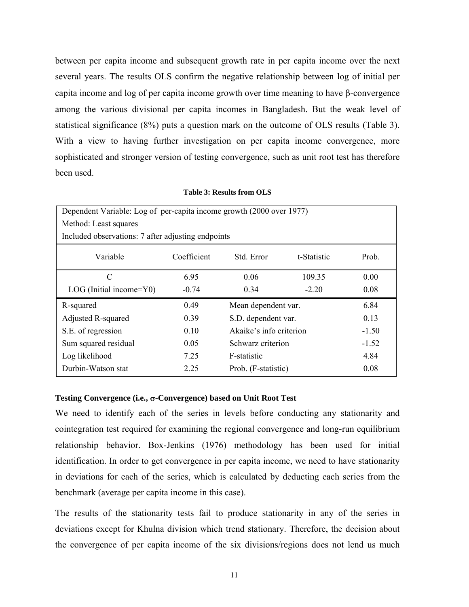between per capita income and subsequent growth rate in per capita income over the next several years. The results OLS confirm the negative relationship between log of initial per capita income and log of per capita income growth over time meaning to have β-convergence among the various divisional per capita incomes in Bangladesh. But the weak level of statistical significance (8%) puts a question mark on the outcome of OLS results (Table 3). With a view to having further investigation on per capita income convergence, more sophisticated and stronger version of testing convergence, such as unit root test has therefore been used.

#### **Table 3: Results from OLS**

| Dependent Variable: Log of per-capita income growth (2000 over 1977) |             |                                    |             |       |  |  |         |
|----------------------------------------------------------------------|-------------|------------------------------------|-------------|-------|--|--|---------|
| Method: Least squares                                                |             |                                    |             |       |  |  |         |
| Included observations: 7 after adjusting endpoints                   |             |                                    |             |       |  |  |         |
| Variable                                                             | Coefficient | Std. Error                         | t-Statistic | Prob. |  |  |         |
| C                                                                    | 6.95        | 0.06                               | 109.35      | 0.00  |  |  |         |
| $LOG$ (Initial income= $Y0$ )                                        | $-0.74$     | 0.34                               | $-2.20$     | 0.08  |  |  |         |
| R-squared                                                            | 0.49        | Mean dependent var.<br>6.84        |             |       |  |  |         |
| Adjusted R-squared                                                   | 0.39        | S.D. dependent var.<br>0.13        |             |       |  |  |         |
| S.E. of regression                                                   | 0.10        | Akaike's info criterion<br>$-1.50$ |             |       |  |  |         |
| Sum squared residual                                                 | 0.05        | Schwarz criterion                  |             |       |  |  | $-1.52$ |
| Log likelihood                                                       | 7.25        | F-statistic<br>4.84                |             |       |  |  |         |
| Durbin-Watson stat                                                   | 2.25        | Prob. (F-statistic)<br>0.08        |             |       |  |  |         |

#### **Testing Convergence (i.e.,** σ**-Convergence) based on Unit Root Test**

We need to identify each of the series in levels before conducting any stationarity and cointegration test required for examining the regional convergence and long-run equilibrium relationship behavior. Box-Jenkins (1976) methodology has been used for initial identification. In order to get convergence in per capita income, we need to have stationarity in deviations for each of the series, which is calculated by deducting each series from the benchmark (average per capita income in this case).

The results of the stationarity tests fail to produce stationarity in any of the series in deviations except for Khulna division which trend stationary. Therefore, the decision about the convergence of per capita income of the six divisions/regions does not lend us much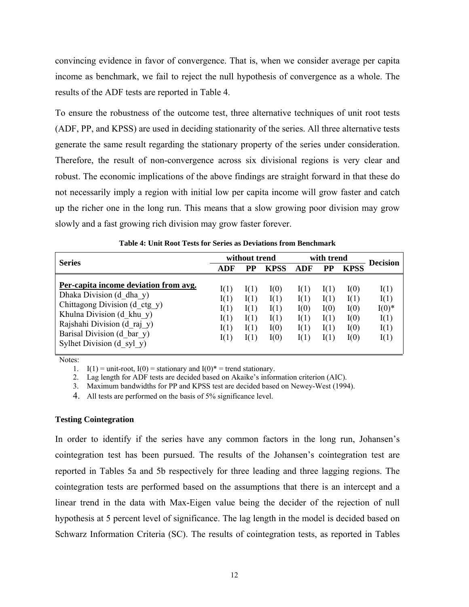convincing evidence in favor of convergence. That is, when we consider average per capita income as benchmark, we fail to reject the null hypothesis of convergence as a whole. The results of the ADF tests are reported in Table 4.

To ensure the robustness of the outcome test, three alternative techniques of unit root tests (ADF, PP, and KPSS) are used in deciding stationarity of the series. All three alternative tests generate the same result regarding the stationary property of the series under consideration. Therefore, the result of non-convergence across six divisional regions is very clear and robust. The economic implications of the above findings are straight forward in that these do not necessarily imply a region with initial low per capita income will grow faster and catch up the richer one in the long run. This means that a slow growing poor division may grow slowly and a fast growing rich division may grow faster forever.

| <b>Series</b>                                                                                                                                                                                                             | without trend                                |                                              |                                              | with trend                                   |                                              |                                              | Decision                                         |
|---------------------------------------------------------------------------------------------------------------------------------------------------------------------------------------------------------------------------|----------------------------------------------|----------------------------------------------|----------------------------------------------|----------------------------------------------|----------------------------------------------|----------------------------------------------|--------------------------------------------------|
|                                                                                                                                                                                                                           | ADF                                          | PP                                           | <b>KPSS</b>                                  | ADF                                          | PP                                           | <b>KPSS</b>                                  |                                                  |
| Per-capita income deviation from avg.<br>Dhaka Division (d dha y)<br>Chittagong Division (d ctg y)<br>Khulna Division (d khu y)<br>Rajshahi Division (d raj y)<br>Barisal Division (d bar y)<br>Sylhet Division (d syl y) | I(1)<br>I(1)<br>I(1)<br>I(1)<br>I(1)<br>I(1) | I(1)<br>I(1)<br>I(1)<br>I(1)<br>I(1)<br>I(1) | I(0)<br>I(1)<br>I(1)<br>I(1)<br>I(0)<br>I(0) | I(1)<br>I(1)<br>I(0)<br>I(1)<br>I(1)<br>I(1) | I(1)<br>I(1)<br>I(0)<br>I(1)<br>I(1)<br>I(1) | I(0)<br>I(1)<br>I(0)<br>I(0)<br>I(0)<br>I(0) | I(1)<br>I(1)<br>$I(0)$ *<br>I(1)<br>I(1)<br>I(1) |

**Table 4: Unit Root Tests for Series as Deviations from Benchmark** 

Notes:

1. I(1) = unit-root, I(0) = stationary and I(0)<sup>\*</sup> = trend stationary.

2. Lag length for ADF tests are decided based on Akaike's information criterion (AIC).

3. Maximum bandwidths for PP and KPSS test are decided based on Newey-West (1994).

4. All tests are performed on the basis of 5% significance level.

#### **Testing Cointegration**

In order to identify if the series have any common factors in the long run, Johansen's cointegration test has been pursued. The results of the Johansen's cointegration test are reported in Tables 5a and 5b respectively for three leading and three lagging regions. The cointegration tests are performed based on the assumptions that there is an intercept and a linear trend in the data with Max-Eigen value being the decider of the rejection of null hypothesis at 5 percent level of significance. The lag length in the model is decided based on Schwarz Information Criteria (SC). The results of cointegration tests, as reported in Tables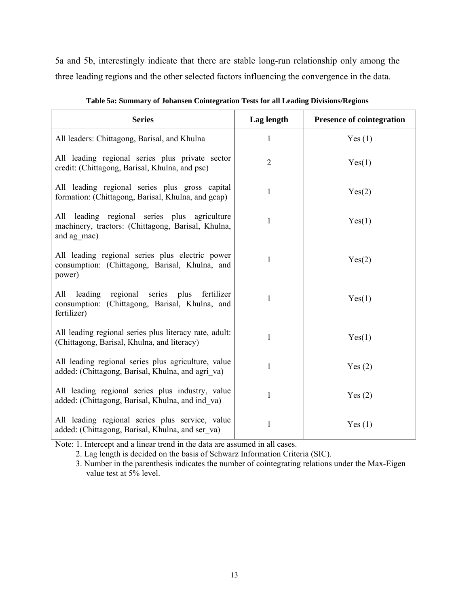5a and 5b, interestingly indicate that there are stable long-run relationship only among the three leading regions and the other selected factors influencing the convergence in the data.

| <b>Series</b>                                                                                                     | Lag length     | <b>Presence of cointegration</b> |
|-------------------------------------------------------------------------------------------------------------------|----------------|----------------------------------|
| All leaders: Chittagong, Barisal, and Khulna                                                                      | $\mathbf{1}$   | Yes(1)                           |
| All leading regional series plus private sector<br>credit: (Chittagong, Barisal, Khulna, and psc)                 | $\overline{2}$ | Yes(1)                           |
| All leading regional series plus gross capital<br>formation: (Chittagong, Barisal, Khulna, and gcap)              | $\mathbf{1}$   | Yes(2)                           |
| All leading regional series plus agriculture<br>machinery, tractors: (Chittagong, Barisal, Khulna,<br>and ag mac) | $\mathbf{1}$   | Yes(1)                           |
| All leading regional series plus electric power<br>consumption: (Chittagong, Barisal, Khulna, and<br>power)       | $\mathbf{1}$   | Yes(2)                           |
| All leading regional series plus fertilizer<br>consumption: (Chittagong, Barisal, Khulna, and<br>fertilizer)      | $\mathbf{1}$   | Yes(1)                           |
| All leading regional series plus literacy rate, adult:<br>(Chittagong, Barisal, Khulna, and literacy)             | $\mathbf{1}$   | Yes(1)                           |
| All leading regional series plus agriculture, value<br>added: (Chittagong, Barisal, Khulna, and agri va)          | 1              | Yes(2)                           |
| All leading regional series plus industry, value<br>added: (Chittagong, Barisal, Khulna, and ind va)              | $\mathbf{1}$   | Yes(2)                           |
| All leading regional series plus service, value<br>added: (Chittagong, Barisal, Khulna, and ser va)               | $\mathbf{1}$   | Yes $(1)$                        |

Note: 1. Intercept and a linear trend in the data are assumed in all cases.

2. Lag length is decided on the basis of Schwarz Information Criteria (SIC).

3. Number in the parenthesis indicates the number of cointegrating relations under the Max-Eigen value test at 5% level.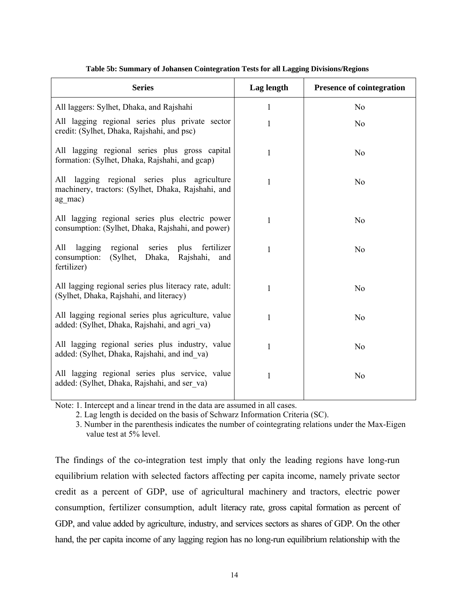| <b>Series</b>                                                                                                                 | Lag length   | <b>Presence of cointegration</b> |
|-------------------------------------------------------------------------------------------------------------------------------|--------------|----------------------------------|
| All laggers: Sylhet, Dhaka, and Rajshahi                                                                                      | 1            | N <sub>0</sub>                   |
| All lagging regional series plus private sector<br>credit: (Sylhet, Dhaka, Rajshahi, and psc)                                 | 1            | N <sub>0</sub>                   |
| All lagging regional series plus gross capital<br>formation: (Sylhet, Dhaka, Rajshahi, and gcap)                              | $\mathbf{1}$ | N <sub>0</sub>                   |
| All lagging regional series plus agriculture<br>machinery, tractors: (Sylhet, Dhaka, Rajshahi, and<br>ag mac)                 | 1            | N <sub>o</sub>                   |
| All lagging regional series plus electric power<br>consumption: (Sylhet, Dhaka, Rajshahi, and power)                          | $\mathbf{1}$ | N <sub>0</sub>                   |
| lagging<br>fertilizer<br>All<br>regional series<br>plus<br>consumption:<br>(Sylhet, Dhaka,<br>Rajshahi,<br>and<br>fertilizer) | 1            | N <sub>0</sub>                   |
| All lagging regional series plus literacy rate, adult:<br>(Sylhet, Dhaka, Rajshahi, and literacy)                             | 1            | N <sub>0</sub>                   |
| All lagging regional series plus agriculture, value<br>added: (Sylhet, Dhaka, Rajshahi, and agri va)                          | 1            | N <sub>0</sub>                   |
| All lagging regional series plus industry, value<br>added: (Sylhet, Dhaka, Rajshahi, and ind va)                              | 1            | N <sub>o</sub>                   |
| All lagging regional series plus service, value<br>added: (Sylhet, Dhaka, Rajshahi, and ser va)                               | 1            | N <sub>0</sub>                   |

#### **Table 5b: Summary of Johansen Cointegration Tests for all Lagging Divisions/Regions**

Note: 1. Intercept and a linear trend in the data are assumed in all cases.

2. Lag length is decided on the basis of Schwarz Information Criteria (SC).

3. Number in the parenthesis indicates the number of cointegrating relations under the Max-Eigen value test at 5% level.

The findings of the co-integration test imply that only the leading regions have long-run equilibrium relation with selected factors affecting per capita income, namely private sector credit as a percent of GDP, use of agricultural machinery and tractors, electric power consumption, fertilizer consumption, adult literacy rate, gross capital formation as percent of GDP, and value added by agriculture, industry, and services sectors as shares of GDP. On the other hand, the per capita income of any lagging region has no long-run equilibrium relationship with the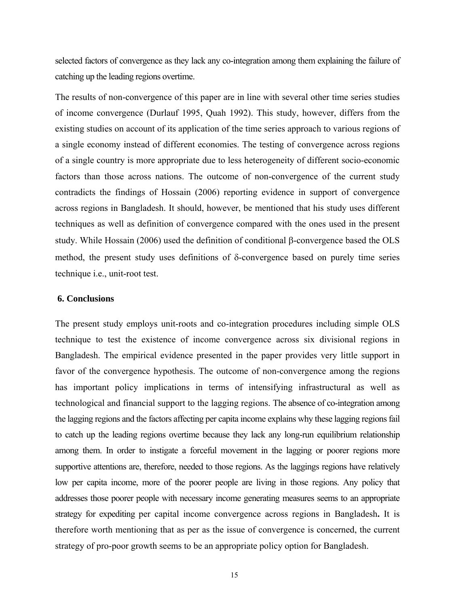selected factors of convergence as they lack any co-integration among them explaining the failure of catching up the leading regions overtime.

The results of non-convergence of this paper are in line with several other time series studies of income convergence (Durlauf 1995, Quah 1992). This study, however, differs from the existing studies on account of its application of the time series approach to various regions of a single economy instead of different economies. The testing of convergence across regions of a single country is more appropriate due to less heterogeneity of different socio-economic factors than those across nations. The outcome of non-convergence of the current study contradicts the findings of Hossain (2006) reporting evidence in support of convergence across regions in Bangladesh. It should, however, be mentioned that his study uses different techniques as well as definition of convergence compared with the ones used in the present study. While Hossain (2006) used the definition of conditional β-convergence based the OLS method, the present study uses definitions of δ-convergence based on purely time series technique i.e., unit-root test.

## **6. Conclusions**

The present study employs unit-roots and co-integration procedures including simple OLS technique to test the existence of income convergence across six divisional regions in Bangladesh. The empirical evidence presented in the paper provides very little support in favor of the convergence hypothesis. The outcome of non-convergence among the regions has important policy implications in terms of intensifying infrastructural as well as technological and financial support to the lagging regions. The absence of co-integration among the lagging regions and the factors affecting per capita income explains why these lagging regions fail to catch up the leading regions overtime because they lack any long-run equilibrium relationship among them. In order to instigate a forceful movement in the lagging or poorer regions more supportive attentions are, therefore, needed to those regions. As the laggings regions have relatively low per capita income, more of the poorer people are living in those regions. Any policy that addresses those poorer people with necessary income generating measures seems to an appropriate strategy for expediting per capital income convergence across regions in Bangladesh**.** It is therefore worth mentioning that as per as the issue of convergence is concerned, the current strategy of pro-poor growth seems to be an appropriate policy option for Bangladesh.